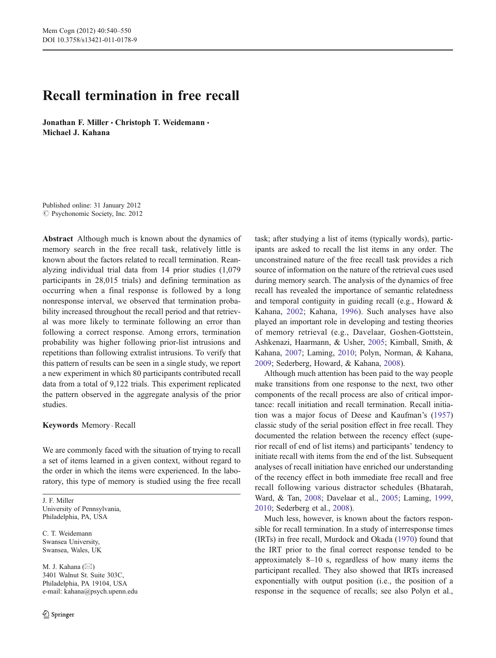# Recall termination in free recall

Jonathan F. Miller · Christoph T. Weidemann · Michael J. Kahana

Published online: 31 January 2012  $\odot$  Psychonomic Society, Inc. 2012

Abstract Although much is known about the dynamics of memory search in the free recall task, relatively little is known about the factors related to recall termination. Reanalyzing individual trial data from 14 prior studies (1,079 participants in 28,015 trials) and defining termination as occurring when a final response is followed by a long nonresponse interval, we observed that termination probability increased throughout the recall period and that retrieval was more likely to terminate following an error than following a correct response. Among errors, termination probability was higher following prior-list intrusions and repetitions than following extralist intrusions. To verify that this pattern of results can be seen in a single study, we report a new experiment in which 80 participants contributed recall data from a total of 9,122 trials. This experiment replicated the pattern observed in the aggregate analysis of the prior studies.

## Keywords Memory. Recall

We are commonly faced with the situation of trying to recall a set of items learned in a given context, without regard to the order in which the items were experienced. In the laboratory, this type of memory is studied using the free recall

J. F. Miller University of Pennsylvania, Philadelphia, PA, USA

C. T. Weidemann Swansea University, Swansea, Wales, UK

M. J. Kahana  $(\boxtimes)$ 3401 Walnut St. Suite 303C, Philadelphia, PA 19104, USA e-mail: kahana@psych.upenn.edu

task; after studying a list of items (typically words), participants are asked to recall the list items in any order. The unconstrained nature of the free recall task provides a rich source of information on the nature of the retrieval cues used during memory search. The analysis of the dynamics of free recall has revealed the importance of semantic relatedness and temporal contiguity in guiding recall (e.g., Howard & Kahana, [2002](#page-9-0); Kahana, [1996](#page-9-0)). Such analyses have also played an important role in developing and testing theories of memory retrieval (e.g., Davelaar, Goshen-Gottstein, Ashkenazi, Haarmann, & Usher, [2005](#page-9-0); Kimball, Smith, & Kahana, [2007;](#page-9-0) Laming, [2010;](#page-10-0) Polyn, Norman, & Kahana, [2009](#page-10-0); Sederberg, Howard, & Kahana, [2008\)](#page-10-0).

Although much attention has been paid to the way people make transitions from one response to the next, two other components of the recall process are also of critical importance: recall initiation and recall termination. Recall initiation was a major focus of Deese and Kaufman's ([1957](#page-9-0)) classic study of the serial position effect in free recall. They documented the relation between the recency effect (superior recall of end of list items) and participants' tendency to initiate recall with items from the end of the list. Subsequent analyses of recall initiation have enriched our understanding of the recency effect in both immediate free recall and free recall following various distractor schedules (Bhatarah, Ward, & Tan, [2008](#page-9-0); Davelaar et al., [2005](#page-9-0); Laming, [1999,](#page-9-0) [2010](#page-10-0); Sederberg et al., [2008\)](#page-10-0).

Much less, however, is known about the factors responsible for recall termination. In a study of interresponse times (IRTs) in free recall, Murdock and Okada ([1970\)](#page-10-0) found that the IRT prior to the final correct response tended to be approximately 8–10 s, regardless of how many items the participant recalled. They also showed that IRTs increased exponentially with output position (i.e., the position of a response in the sequence of recalls; see also Polyn et al.,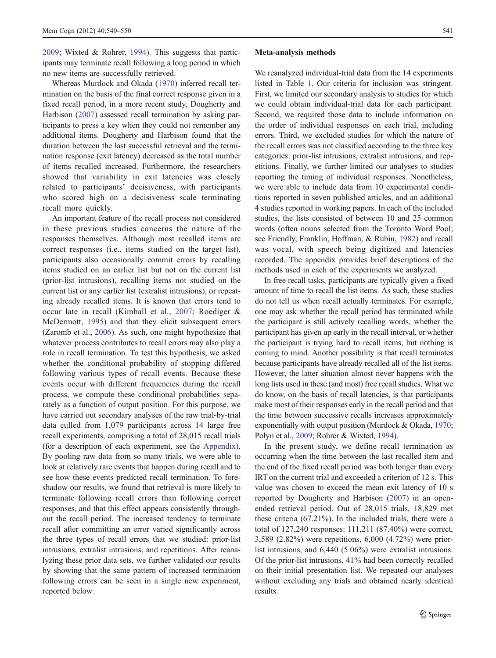[2009;](#page-10-0) Wixted & Rohrer, [1994\)](#page-10-0). This suggests that participants may terminate recall following a long period in which no new items are successfully retrieved.

Whereas Murdock and Okada ([1970\)](#page-10-0) inferred recall termination on the basis of the final correct response given in a fixed recall period, in a more recent study, Dougherty and Harbison ([2007\)](#page-9-0) assessed recall termination by asking participants to press a key when they could not remember any additional items. Dougherty and Harbison found that the duration between the last successful retrieval and the termination response (exit latency) decreased as the total number of items recalled increased. Furthermore, the researchers showed that variability in exit latencies was closely related to participants' decisiveness, with participants who scored high on a decisiveness scale terminating recall more quickly.

An important feature of the recall process not considered in these previous studies concerns the nature of the responses themselves. Although most recalled items are correct responses (i.e., items studied on the target list), participants also occasionally commit errors by recalling items studied on an earlier list but not on the current list (prior-list intrusions), recalling items not studied on the current list or any earlier list (extralist intrusions), or repeating already recalled items. It is known that errors tend to occur late in recall (Kimball et al., [2007](#page-9-0); Roediger & McDermott, [1995\)](#page-10-0) and that they elicit subsequent errors (Zaromb et al., [2006\)](#page-10-0). As such, one might hypothesize that whatever process contributes to recall errors may also play a role in recall termination. To test this hypothesis, we asked whether the conditional probability of stopping differed following various types of recall events. Because these events occur with different frequencies during the recall process, we compute these conditional probabilities separately as a function of output position. For this purpose, we have carried out secondary analyses of the raw trial-by-trial data culled from 1,079 participants across 14 large free recall experiments, comprising a total of 28,015 recall trials (for a description of each experiment, see the [Appendix](#page-7-0)). By pooling raw data from so many trials, we were able to look at relatively rare events that happen during recall and to see how these events predicted recall termination. To foreshadow our results, we found that retrieval is more likely to terminate following recall errors than following correct responses, and that this effect appears consistently throughout the recall period. The increased tendency to terminate recall after committing an error varied significantly across the three types of recall errors that we studied: prior-list intrusions, extralist intrusions, and repetitions. After reanalyzing these prior data sets, we further validated our results by showing that the same pattern of increased termination following errors can be seen in a single new experiment, reported below.

#### Meta-analysis methods

We reanalyzed individual-trial data from the 14 experiments listed in Table [1](#page-2-0). Our criteria for inclusion was stringent. First, we limited our secondary analysis to studies for which we could obtain individual-trial data for each participant. Second, we required those data to include information on the order of individual responses on each trial, including errors. Third, we excluded studies for which the nature of the recall errors was not classified according to the three key categories: prior-list intrusions, extralist intrusions, and repetitions. Finally, we further limited our analyses to studies reporting the timing of individual responses. Nonetheless, we were able to include data from 10 experimental conditions reported in seven published articles, and an additional 4 studies reported in working papers. In each of the included studies, the lists consisted of between 10 and 25 common words (often nouns selected from the Toronto Word Pool; see Friendly, Franklin, Hoffman, & Rubin, [1982](#page-9-0)) and recall was vocal, with speech being digitized and latencies recorded. The appendix provides brief descriptions of the methods used in each of the experiments we analyzed.

In free recall tasks, participants are typically given a fixed amount of time to recall the list items. As such, these studies do not tell us when recall actually terminates. For example, one may ask whether the recall period has terminated while the participant is still actively recalling words, whether the participant has given up early in the recall interval, or whether the participant is trying hard to recall items, but nothing is coming to mind. Another possibility is that recall terminates because participants have already recalled all of the list items. However, the latter situation almost never happens with the long lists used in these (and most) free recall studies. What we do know, on the basis of recall latencies, is that participants make most of their responses early in the recall period and that the time between successive recalls increases approximately exponentially with output position (Murdock & Okada, [1970;](#page-10-0) Polyn et al., [2009](#page-10-0); Rohrer & Wixted, [1994\)](#page-10-0).

In the present study, we define recall termination as occurring when the time between the last recalled item and the end of the fixed recall period was both longer than every IRT on the current trial and exceeded a criterion of 12 s. This value was chosen to exceed the mean exit latency of 10 s reported by Dougherty and Harbison ([2007\)](#page-9-0) in an openended retrieval period. Out of 28,015 trials, 18,829 met these criteria (67.21%). In the included trials, there were a total of 127,240 responses: 111,211 (87.40%) were correct, 3,589 (2.82%) were repetitions, 6,000 (4.72%) were priorlist intrusions, and 6,440 (5.06%) were extralist intrusions. Of the prior-list intrusions, 41% had been correctly recalled on their initial presentation list. We repeated our analyses without excluding any trials and obtained nearly identical results.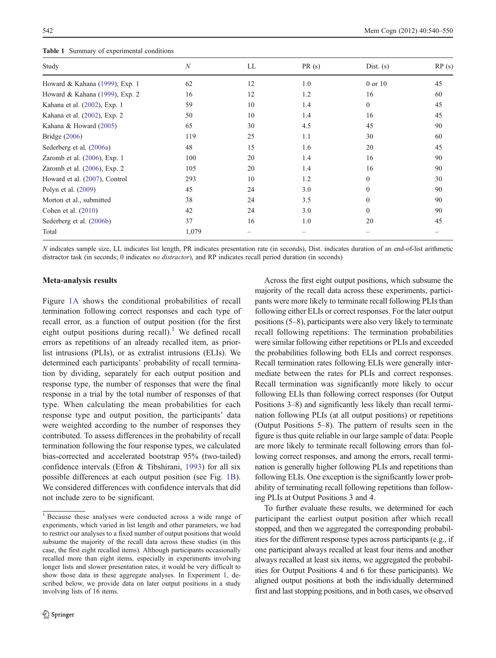<span id="page-2-0"></span>Table 1 Summary of experimental conditions

| Study                          | N     | LL | PR(s) | Dist. $(s)$ | RP(s) |
|--------------------------------|-------|----|-------|-------------|-------|
| Howard & Kahana (1999), Exp. 1 | 62    | 12 | 1.0   | 0 or 10     | 45    |
| Howard & Kahana (1999), Exp. 2 | 16    | 12 | 1.2   | 16          | 60    |
| Kahana et al. (2002), Exp. 1   | 59    | 10 | 1.4   | $\Omega$    | 45    |
| Kahana et al. (2002), Exp. 2   | 50    | 10 | 1.4   | 16          | 45    |
| Kahana & Howard (2005)         | 65    | 30 | 4.5   | 45          | 90    |
| Bridge (2006)                  | 119   | 25 | 1.1   | 30          | 60    |
| Sederberg et al. (2006a)       | 48    | 15 | 1.6   | 20          | 45    |
| Zaromb et al. (2006), Exp. 1   | 100   | 20 | 1.4   | 16          | 90    |
| Zaromb et al. (2006), Exp. 2   | 105   | 20 | 1.4   | 16          | 90    |
| Howard et al. (2007), Control  | 293   | 10 | 1.2   | $\Omega$    | 30    |
| Polyn et al. (2009)            | 45    | 24 | 3.0   | $\Omega$    | 90    |
| Morton et al., submitted       | 38    | 24 | 3.5   | $\Omega$    | 90    |
| Cohen et al. $(2010)$          | 42    | 24 | 3.0   | $\Omega$    | 90    |
| Sederberg et al. (2006b)       | 37    | 16 | 1.0   | 20          | 45    |
| Total                          | 1,079 |    |       |             |       |

N indicates sample size, LL indicates list length, PR indicates presentation rate (in seconds), Dist. indicates duration of an end-of-list arithmetic distractor task (in seconds; 0 indicates no distractor), and RP indicates recall period duration (in seconds)

#### Meta-analysis results

Figure [1A](#page-3-0) shows the conditional probabilities of recall termination following correct responses and each type of recall error, as a function of output position (for the first eight output positions during recall).<sup>1</sup> We defined recall errors as repetitions of an already recalled item, as priorlist intrusions (PLIs), or as extralist intrusions (ELIs). We determined each participants' probability of recall termination by dividing, separately for each output position and response type, the number of responses that were the final response in a trial by the total number of responses of that type. When calculating the mean probabilities for each response type and output position, the participants' data were weighted according to the number of responses they contributed. To assess differences in the probability of recall termination following the four response types, we calculated bias-corrected and accelerated bootstrap 95% (two-tailed) confidence intervals (Efron & Tibshirani, [1993](#page-9-0)) for all six possible differences at each output position (see Fig. [1B](#page-3-0)). We considered differences with confidence intervals that did not include zero to be significant.

Across the first eight output positions, which subsume the majority of the recall data across these experiments, participants were more likely to terminate recall following PLIs than following either ELIs or correct responses. For the later output positions (5–8), participants were also very likely to terminate recall following repetitions: The termination probabilities were similar following either repetitions or PLIs and exceeded the probabilities following both ELIs and correct responses. Recall termination rates following ELIs were generally intermediate between the rates for PLIs and correct responses. Recall termination was significantly more likely to occur following ELIs than following correct responses (for Output Positions 3–8) and significantly less likely than recall termination following PLIs (at all output positions) or repetitions (Output Positions 5–8). The pattern of results seen in the figure is thus quite reliable in our large sample of data: People are more likely to terminate recall following errors than following correct responses, and among the errors, recall termination is generally higher following PLIs and repetitions than following ELIs. One exception is the significantly lower probability of terminating recall following repetitions than following PLIs at Output Positions 3 and 4.

To further evaluate these results, we determined for each participant the earliest output position after which recall stopped, and then we aggregated the corresponding probabilities for the different response types across participants (e.g., if one participant always recalled at least four items and another always recalled at least six items, we aggregated the probabilities for Output Positions 4 and 6 for these participants). We aligned output positions at both the individually determined first and last stopping positions, and in both cases, we observed

 $\overline{1}$  Because these analyses were conducted across a wide range of experiments, which varied in list length and other parameters, we had to restrict our analyses to a fixed number of output positions that would subsume the majority of the recall data across these studies (in this case, the first eight recalled items). Although participants occasionally recalled more than eight items, especially in experiments involving longer lists and slower presentation rates, it would be very difficult to show those data in these aggregate analyses. In Experiment 1, described below, we provide data on later output positions in a study involving lists of 16 items.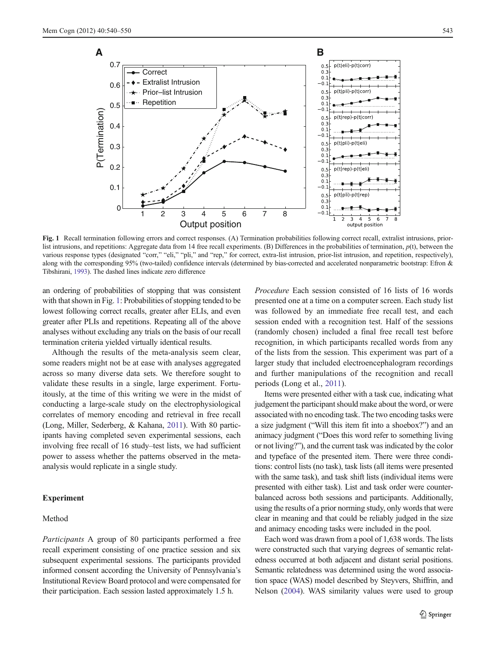<span id="page-3-0"></span>

Fig. 1 Recall termination following errors and correct responses. (A) Termination probabilities following correct recall, extralist intrusions, priorlist intrusions, and repetitions: Aggregate data from 14 free recall experiments. (B) Differences in the probabilities of termination,  $p(t)$ , between the various response types (designated "corr," "eli," "pli," and "rep," for correct, extra-list intrusion, prior-list intrusion, and repetition, respectively), along with the corresponding 95% (two-tailed) confidence intervals (determined by bias-corrected and accelerated nonparametric bootstrap: Efron & Tibshirani, [1993\)](#page-9-0). The dashed lines indicate zero difference

an ordering of probabilities of stopping that was consistent with that shown in Fig. 1: Probabilities of stopping tended to be lowest following correct recalls, greater after ELIs, and even greater after PLIs and repetitions. Repeating all of the above analyses without excluding any trials on the basis of our recall termination criteria yielded virtually identical results.

Although the results of the meta-analysis seem clear, some readers might not be at ease with analyses aggregated across so many diverse data sets. We therefore sought to validate these results in a single, large experiment. Fortuitously, at the time of this writing we were in the midst of conducting a large-scale study on the electrophysiological correlates of memory encoding and retrieval in free recall (Long, Miller, Sederberg, & Kahana, [2011\)](#page-10-0). With 80 participants having completed seven experimental sessions, each involving free recall of 16 study–test lists, we had sufficient power to assess whether the patterns observed in the metaanalysis would replicate in a single study.

### Experiment

## Method

Participants A group of 80 participants performed a free recall experiment consisting of one practice session and six subsequent experimental sessions. The participants provided informed consent according the University of Pennsylvania's Institutional Review Board protocol and were compensated for their participation. Each session lasted approximately 1.5 h.

Procedure Each session consisted of 16 lists of 16 words presented one at a time on a computer screen. Each study list was followed by an immediate free recall test, and each session ended with a recognition test. Half of the sessions (randomly chosen) included a final free recall test before recognition, in which participants recalled words from any of the lists from the session. This experiment was part of a larger study that included electroencephalogram recordings and further manipulations of the recognition and recall periods (Long et al., [2011](#page-10-0)).

Items were presented either with a task cue, indicating what judgement the participant should make about the word, or were associated with no encoding task. The two encoding tasks were a size judgment ("Will this item fit into a shoebox?") and an animacy judgment ("Does this word refer to something living or not living?"), and the current task was indicated by the color and typeface of the presented item. There were three conditions: control lists (no task), task lists (all items were presented with the same task), and task shift lists (individual items were presented with either task). List and task order were counterbalanced across both sessions and participants. Additionally, using the results of a prior norming study, only words that were clear in meaning and that could be reliably judged in the size and animacy encoding tasks were included in the pool.

Each word was drawn from a pool of 1,638 words. The lists were constructed such that varying degrees of semantic relatedness occurred at both adjacent and distant serial positions. Semantic relatedness was determined using the word association space (WAS) model described by Steyvers, Shiffrin, and Nelson [\(2004](#page-10-0)). WAS similarity values were used to group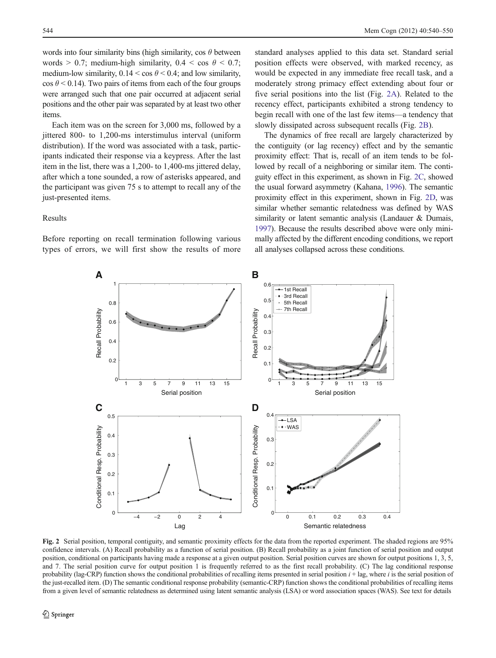544 Mem Cogn (2012) 40:540–550

words into four similarity bins (high similarity,  $\cos \theta$  between words > 0.7; medium-high similarity,  $0.4 < \cos \theta < 0.7$ ; medium-low similarity,  $0.14 \le \cos \theta \le 0.4$ ; and low similarity,  $\cos \theta \leq 0.14$ ). Two pairs of items from each of the four groups were arranged such that one pair occurred at adjacent serial positions and the other pair was separated by at least two other items.

Each item was on the screen for 3,000 ms, followed by a jittered 800- to 1,200-ms interstimulus interval (uniform distribution). If the word was associated with a task, participants indicated their response via a keypress. After the last item in the list, there was a 1,200- to 1,400-ms jittered delay, after which a tone sounded, a row of asterisks appeared, and the participant was given 75 s to attempt to recall any of the just-presented items.

## Results

Before reporting on recall termination following various types of errors, we will first show the results of more

standard analyses applied to this data set. Standard serial position effects were observed, with marked recency, as would be expected in any immediate free recall task, and a moderately strong primacy effect extending about four or five serial positions into the list (Fig. 2A). Related to the recency effect, participants exhibited a strong tendency to begin recall with one of the last few items—a tendency that slowly dissipated across subsequent recalls (Fig. 2B).

The dynamics of free recall are largely characterized by the contiguity (or lag recency) effect and by the semantic proximity effect: That is, recall of an item tends to be followed by recall of a neighboring or similar item. The contiguity effect in this experiment, as shown in Fig. 2C, showed the usual forward asymmetry (Kahana, [1996\)](#page-9-0). The semantic proximity effect in this experiment, shown in Fig. 2D, was similar whether semantic relatedness was defined by WAS similarity or latent semantic analysis (Landauer & Dumais, [1997\)](#page-10-0). Because the results described above were only minimally affected by the different encoding conditions, we report all analyses collapsed across these conditions.



Fig. 2 Serial position, temporal contiguity, and semantic proximity effects for the data from the reported experiment. The shaded regions are 95% confidence intervals. (A) Recall probability as a function of serial position. (B) Recall probability as a joint function of serial position and output position, conditional on participants having made a response at a given output position. Serial position curves are shown for output positions 1, 3, 5, and 7. The serial position curve for output position 1 is frequently referred to as the first recall probability. (C) The lag conditional response probability (lag-CRP) function shows the conditional probabilities of recalling items presented in serial position  $i + \log$ , where i is the serial position of the just-recalled item. (D) The semantic conditional response probability (semantic-CRP) function shows the conditional probabilities of recalling items from a given level of semantic relatedness as determined using latent semantic analysis (LSA) or word association spaces (WAS). See text for details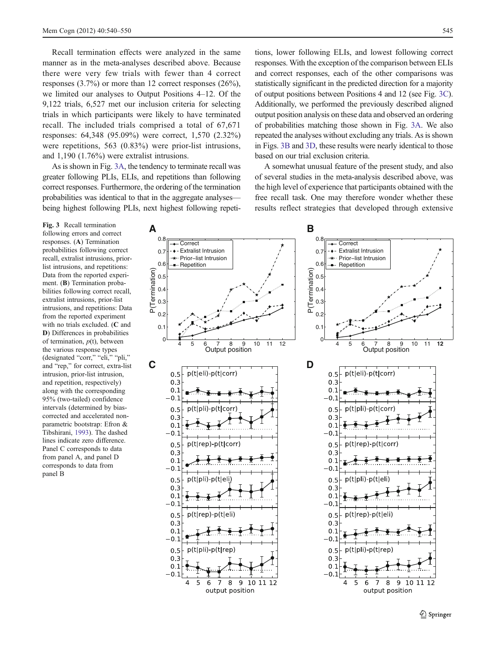<span id="page-5-0"></span>Recall termination effects were analyzed in the same manner as in the meta-analyses described above. Because there were very few trials with fewer than 4 correct responses (3.7%) or more than 12 correct responses (26%), we limited our analyses to Output Positions 4–12. Of the 9,122 trials, 6,527 met our inclusion criteria for selecting trials in which participants were likely to have terminated recall. The included trials comprised a total of 67,671 responses: 64,348 (95.09%) were correct, 1,570 (2.32%) were repetitions, 563 (0.83%) were prior-list intrusions, and 1,190 (1.76%) were extralist intrusions.

As is shown in Fig. 3A, the tendency to terminate recall was greater following PLIs, ELIs, and repetitions than following correct responses. Furthermore, the ordering of the termination probabilities was identical to that in the aggregate analyses being highest following PLIs, next highest following repeti-

tions, lower following ELIs, and lowest following correct responses. With the exception of the comparison between ELIs and correct responses, each of the other comparisons was statistically significant in the predicted direction for a majority of output positions between Positions 4 and 12 (see Fig. 3C). Additionally, we performed the previously described aligned output position analysis on these data and observed an ordering of probabilities matching those shown in Fig. 3A. We also repeated the analyses without excluding any trials. As is shown in Figs. 3B and 3D, these results were nearly identical to those based on our trial exclusion criteria.

A somewhat unusual feature of the present study, and also of several studies in the meta-analysis described above, was the high level of experience that participants obtained with the free recall task. One may therefore wonder whether these results reflect strategies that developed through extensive

Fig. 3 Recall termination following errors and correct responses. (A) Termination probabilities following correct recall, extralist intrusions, priorlist intrusions, and repetitions: Data from the reported experiment. (B) Termination probabilities following correct recall, extralist intrusions, prior-list intrusions, and repetitions: Data from the reported experiment with no trials excluded. (C and D) Differences in probabilities of termination,  $p(t)$ , between the various response types (designated "corr," "eli," "pli," and "rep," for correct, extra-list intrusion, prior-list intrusion, and repetition, respectively) along with the corresponding 95% (two-tailed) confidence intervals (determined by biascorrected and accelerated nonparametric bootstrap: Efron & Tibshirani, [1993\)](#page-9-0). The dashed lines indicate zero difference. Panel C corresponds to data from panel A, and panel D corresponds to data from panel B

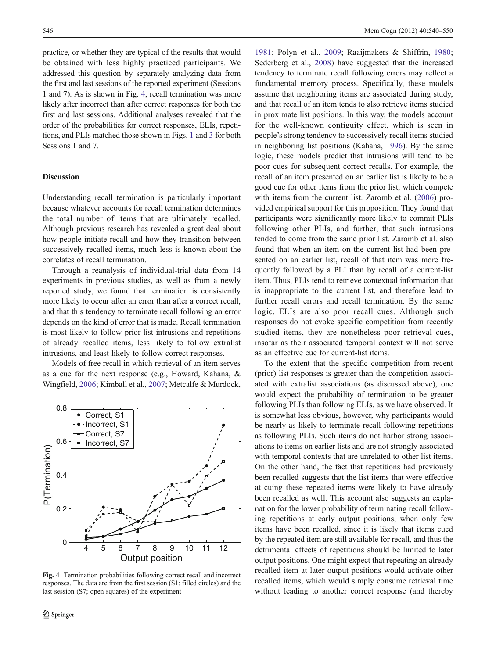practice, or whether they are typical of the results that would be obtained with less highly practiced participants. We addressed this question by separately analyzing data from the first and last sessions of the reported experiment (Sessions 1 and 7). As is shown in Fig. 4, recall termination was more likely after incorrect than after correct responses for both the first and last sessions. Additional analyses revealed that the order of the probabilities for correct responses, ELIs, repetitions, and PLIs matched those shown in Figs. [1](#page-3-0) and [3](#page-5-0) for both Sessions 1 and 7.

### Discussion

Understanding recall termination is particularly important because whatever accounts for recall termination determines the total number of items that are ultimately recalled. Although previous research has revealed a great deal about how people initiate recall and how they transition between successively recalled items, much less is known about the correlates of recall termination.

Through a reanalysis of individual-trial data from 14 experiments in previous studies, as well as from a newly reported study, we found that termination is consistently more likely to occur after an error than after a correct recall, and that this tendency to terminate recall following an error depends on the kind of error that is made. Recall termination is most likely to follow prior-list intrusions and repetitions of already recalled items, less likely to follow extralist intrusions, and least likely to follow correct responses.

Models of free recall in which retrieval of an item serves as a cue for the next response (e.g., Howard, Kahana, & Wingfield, [2006](#page-9-0); Kimball et al., [2007](#page-9-0); Metcalfe & Murdock,



Fig. 4 Termination probabilities following correct recall and incorrect responses. The data are from the first session (S1; filled circles) and the last session (S7; open squares) of the experiment

[1981](#page-10-0); Polyn et al., [2009;](#page-10-0) Raaijmakers & Shiffrin, [1980;](#page-10-0) Sederberg et al., [2008\)](#page-10-0) have suggested that the increased tendency to terminate recall following errors may reflect a fundamental memory process. Specifically, these models assume that neighboring items are associated during study, and that recall of an item tends to also retrieve items studied in proximate list positions. In this way, the models account for the well-known contiguity effect, which is seen in people's strong tendency to successively recall items studied in neighboring list positions (Kahana, [1996\)](#page-9-0). By the same logic, these models predict that intrusions will tend to be poor cues for subsequent correct recalls. For example, the recall of an item presented on an earlier list is likely to be a good cue for other items from the prior list, which compete with items from the current list. Zaromb et al. [\(2006](#page-10-0)) provided empirical support for this proposition. They found that participants were significantly more likely to commit PLIs following other PLIs, and further, that such intrusions tended to come from the same prior list. Zaromb et al. also found that when an item on the current list had been presented on an earlier list, recall of that item was more frequently followed by a PLI than by recall of a current-list item. Thus, PLIs tend to retrieve contextual information that is inappropriate to the current list, and therefore lead to further recall errors and recall termination. By the same logic, ELIs are also poor recall cues. Although such responses do not evoke specific competition from recently studied items, they are nonetheless poor retrieval cues, insofar as their associated temporal context will not serve as an effective cue for current-list items.

To the extent that the specific competition from recent (prior) list responses is greater than the competition associated with extralist associations (as discussed above), one would expect the probability of termination to be greater following PLIs than following ELIs, as we have observed. It is somewhat less obvious, however, why participants would be nearly as likely to terminate recall following repetitions as following PLIs. Such items do not harbor strong associations to items on earlier lists and are not strongly associated with temporal contexts that are unrelated to other list items. On the other hand, the fact that repetitions had previously been recalled suggests that the list items that were effective at cuing these repeated items were likely to have already been recalled as well. This account also suggests an explanation for the lower probability of terminating recall following repetitions at early output positions, when only few items have been recalled, since it is likely that items cued by the repeated item are still available for recall, and thus the detrimental effects of repetitions should be limited to later output positions. One might expect that repeating an already recalled item at later output positions would activate other recalled items, which would simply consume retrieval time without leading to another correct response (and thereby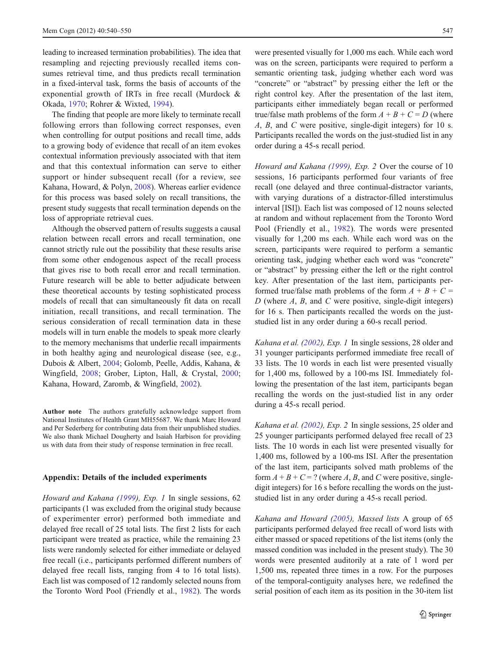<span id="page-7-0"></span>leading to increased termination probabilities). The idea that resampling and rejecting previously recalled items consumes retrieval time, and thus predicts recall termination in a fixed-interval task, forms the basis of accounts of the exponential growth of IRTs in free recall (Murdock & Okada, [1970](#page-10-0); Rohrer & Wixted, [1994](#page-10-0)).

The finding that people are more likely to terminate recall following errors than following correct responses, even when controlling for output positions and recall time, adds to a growing body of evidence that recall of an item evokes contextual information previously associated with that item and that this contextual information can serve to either support or hinder subsequent recall (for a review, see Kahana, Howard, & Polyn, [2008](#page-9-0)). Whereas earlier evidence for this process was based solely on recall transitions, the present study suggests that recall termination depends on the loss of appropriate retrieval cues.

Although the observed pattern of results suggests a causal relation between recall errors and recall termination, one cannot strictly rule out the possibility that these results arise from some other endogenous aspect of the recall process that gives rise to both recall error and recall termination. Future research will be able to better adjudicate between these theoretical accounts by testing sophisticated process models of recall that can simultaneously fit data on recall initiation, recall transitions, and recall termination. The serious consideration of recall termination data in these models will in turn enable the models to speak more clearly to the memory mechanisms that underlie recall impairments in both healthy aging and neurological disease (see, e.g., Dubois & Albert, [2004;](#page-9-0) Golomb, Peelle, Addis, Kahana, & Wingfield, [2008](#page-9-0); Grober, Lipton, Hall, & Crystal, [2000](#page-9-0); Kahana, Howard, Zaromb, & Wingfield, [2002\)](#page-9-0).

Author note The authors gratefully acknowledge support from National Institutes of Health Grant MH55687. We thank Marc Howard and Per Sederberg for contributing data from their unpublished studies. We also thank Michael Dougherty and Isaiah Harbison for providing us with data from their study of response termination in free recall.

#### Appendix: Details of the included experiments

Howard and Kahana [\(1999](#page-9-0)), Exp. 1 In single sessions, 62 participants (1 was excluded from the original study because of experimenter error) performed both immediate and delayed free recall of 25 total lists. The first 2 lists for each participant were treated as practice, while the remaining 23 lists were randomly selected for either immediate or delayed free recall (i.e., participants performed different numbers of delayed free recall lists, ranging from 4 to 16 total lists). Each list was composed of 12 randomly selected nouns from the Toronto Word Pool (Friendly et al., [1982](#page-9-0)). The words

were presented visually for 1,000 ms each. While each word was on the screen, participants were required to perform a semantic orienting task, judging whether each word was "concrete" or "abstract" by pressing either the left or the right control key. After the presentation of the last item, participants either immediately began recall or performed true/false math problems of the form  $A + B + C = D$  (where A, B, and C were positive, single-digit integers) for 10 s. Participants recalled the words on the just-studied list in any order during a 45-s recall period.

Howard and Kahana [\(1999](#page-9-0)), Exp. 2 Over the course of 10 sessions, 16 participants performed four variants of free recall (one delayed and three continual-distractor variants, with varying durations of a distractor-filled interstimulus interval [ISI]). Each list was composed of 12 nouns selected at random and without replacement from the Toronto Word Pool (Friendly et al., [1982](#page-9-0)). The words were presented visually for 1,200 ms each. While each word was on the screen, participants were required to perform a semantic orienting task, judging whether each word was "concrete" or "abstract" by pressing either the left or the right control key. After presentation of the last item, participants performed true/false math problems of the form  $A + B + C =$ D (where  $A$ ,  $B$ , and  $C$  were positive, single-digit integers) for 16 s. Then participants recalled the words on the juststudied list in any order during a 60-s recall period.

Kahana et al. ([2002\)](#page-9-0), Exp. 1 In single sessions, 28 older and 31 younger participants performed immediate free recall of 33 lists. The 10 words in each list were presented visually for 1,400 ms, followed by a 100-ms ISI. Immediately following the presentation of the last item, participants began recalling the words on the just-studied list in any order during a 45-s recall period.

Kahana et al. ([2002\)](#page-9-0), Exp. 2 In single sessions, 25 older and 25 younger participants performed delayed free recall of 23 lists. The 10 words in each list were presented visually for 1,400 ms, followed by a 100-ms ISI. After the presentation of the last item, participants solved math problems of the form  $A + B + C = ?$  (where A, B, and C were positive, singledigit integers) for 16 s before recalling the words on the juststudied list in any order during a 45-s recall period.

Kahana and Howard [\(2005](#page-9-0)), Massed lists A group of 65 participants performed delayed free recall of word lists with either massed or spaced repetitions of the list items (only the massed condition was included in the present study). The 30 words were presented auditorily at a rate of 1 word per 1,500 ms, repeated three times in a row. For the purposes of the temporal-contiguity analyses here, we redefined the serial position of each item as its position in the 30-item list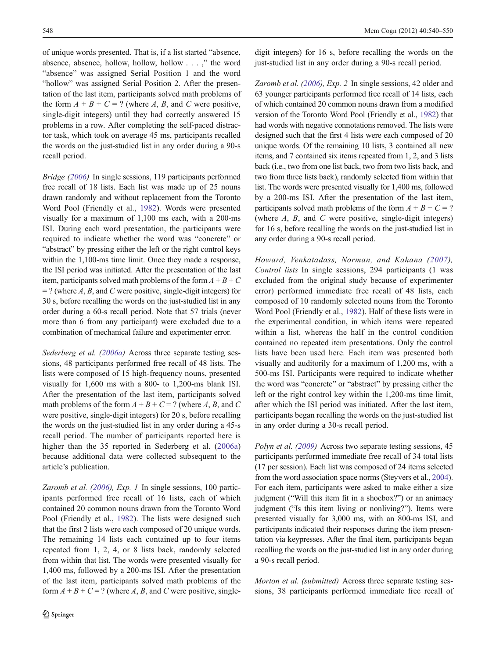of unique words presented. That is, if a list started "absence, absence, absence, hollow, hollow, hollow ...," the word "absence" was assigned Serial Position 1 and the word "hollow" was assigned Serial Position 2. After the presentation of the last item, participants solved math problems of the form  $A + B + C = ?$  (where A, B, and C were positive, single-digit integers) until they had correctly answered 15 problems in a row. After completing the self-paced distractor task, which took on average 45 ms, participants recalled the words on the just-studied list in any order during a 90-s recall period.

Bridge [\(2006](#page-9-0)) In single sessions, 119 participants performed free recall of 18 lists. Each list was made up of 25 nouns drawn randomly and without replacement from the Toronto Word Pool (Friendly et al., [1982](#page-9-0)). Words were presented visually for a maximum of 1,100 ms each, with a 200-ms ISI. During each word presentation, the participants were required to indicate whether the word was "concrete" or "abstract" by pressing either the left or the right control keys within the 1,100-ms time limit. Once they made a response, the ISI period was initiated. After the presentation of the last item, participants solved math problems of the form  $A + B + C$  $=$  ? (where A, B, and C were positive, single-digit integers) for 30 s, before recalling the words on the just-studied list in any order during a 60-s recall period. Note that 57 trials (never more than 6 from any participant) were excluded due to a combination of mechanical failure and experimenter error.

Sederberg et al. [\(2006a](#page-10-0)) Across three separate testing sessions, 48 participants performed free recall of 48 lists. The lists were composed of 15 high-frequency nouns, presented visually for 1,600 ms with a 800- to 1,200-ms blank ISI. After the presentation of the last item, participants solved math problems of the form  $A + B + C = ?$  (where A, B, and C were positive, single-digit integers) for 20 s, before recalling the words on the just-studied list in any order during a 45-s recall period. The number of participants reported here is higher than the 35 reported in Sederberg et al. ([2006a\)](#page-10-0) because additional data were collected subsequent to the article's publication.

Zaromb et al. ([2006\)](#page-10-0), Exp. 1 In single sessions, 100 participants performed free recall of 16 lists, each of which contained 20 common nouns drawn from the Toronto Word Pool (Friendly et al., [1982](#page-9-0)). The lists were designed such that the first 2 lists were each composed of 20 unique words. The remaining 14 lists each contained up to four items repeated from 1, 2, 4, or 8 lists back, randomly selected from within that list. The words were presented visually for 1,400 ms, followed by a 200-ms ISI. After the presentation of the last item, participants solved math problems of the form  $A + B + C = ?$  (where A, B, and C were positive, singledigit integers) for 16 s, before recalling the words on the just-studied list in any order during a 90-s recall period.

Zaromb et al. ([2006\)](#page-10-0), Exp. 2 In single sessions, 42 older and 63 younger participants performed free recall of 14 lists, each of which contained 20 common nouns drawn from a modified version of the Toronto Word Pool (Friendly et al., [1982\)](#page-9-0) that had words with negative connotations removed. The lists were designed such that the first 4 lists were each composed of 20 unique words. Of the remaining 10 lists, 3 contained all new items, and 7 contained six items repeated from 1, 2, and 3 lists back (i.e., two from one list back, two from two lists back, and two from three lists back), randomly selected from within that list. The words were presented visually for 1,400 ms, followed by a 200-ms ISI. After the presentation of the last item, participants solved math problems of the form  $A + B + C = ?$ (where  $A$ ,  $B$ , and  $C$  were positive, single-digit integers) for 16 s, before recalling the words on the just-studied list in any order during a 90-s recall period.

Howard, Venkatadass, Norman, and Kahana ([2007](#page-9-0)), Control lists In single sessions, 294 participants (1 was excluded from the original study because of experimenter error) performed immediate free recall of 48 lists, each composed of 10 randomly selected nouns from the Toronto Word Pool (Friendly et al., [1982\)](#page-9-0). Half of these lists were in the experimental condition, in which items were repeated within a list, whereas the half in the control condition contained no repeated item presentations. Only the control lists have been used here. Each item was presented both visually and auditorily for a maximum of 1,200 ms, with a 500-ms ISI. Participants were required to indicate whether the word was "concrete" or "abstract" by pressing either the left or the right control key within the 1,200-ms time limit, after which the ISI period was initiated. After the last item, participants began recalling the words on the just-studied list in any order during a 30-s recall period.

Polyn et al. ([2009\)](#page-10-0) Across two separate testing sessions, 45 participants performed immediate free recall of 34 total lists (17 per session). Each list was composed of 24 items selected from the word association space norms (Steyvers et al., [2004\)](#page-10-0). For each item, participants were asked to make either a size judgment ("Will this item fit in a shoebox?") or an animacy judgment ("Is this item living or nonliving?"). Items were presented visually for 3,000 ms, with an 800-ms ISI, and participants indicated their responses during the item presentation via keypresses. After the final item, participants began recalling the words on the just-studied list in any order during a 90-s recall period.

Morton et al. (submitted) Across three separate testing sessions, 38 participants performed immediate free recall of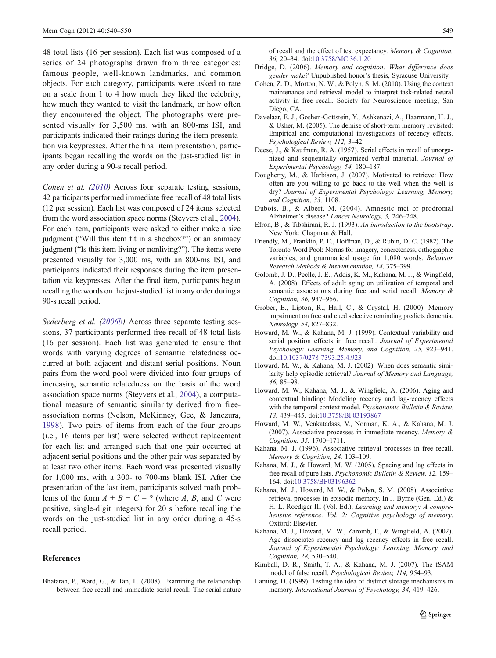<span id="page-9-0"></span>48 total lists (16 per session). Each list was composed of a series of 24 photographs drawn from three categories: famous people, well-known landmarks, and common objects. For each category, participants were asked to rate on a scale from 1 to 4 how much they liked the celebrity, how much they wanted to visit the landmark, or how often they encountered the object. The photographs were presented visually for 3,500 ms, with an 800-ms ISI, and participants indicated their ratings during the item presentation via keypresses. After the final item presentation, participants began recalling the words on the just-studied list in any order during a 90-s recall period.

Cohen et al. (2010) Across four separate testing sessions, 42 participants performed immediate free recall of 48 total lists (12 per session). Each list was composed of 24 items selected from the word association space norms (Steyvers et al., [2004\)](#page-10-0). For each item, participants were asked to either make a size judgment ("Will this item fit in a shoebox?") or an animacy judgment ("Is this item living or nonliving?"). The items were presented visually for 3,000 ms, with an 800-ms ISI, and participants indicated their responses during the item presentation via keypresses. After the final item, participants began recalling the words on the just-studied list in any order during a 90-s recall period.

Sederberg et al. [\(2006b](#page-10-0)) Across three separate testing sessions, 37 participants performed free recall of 48 total lists (16 per session). Each list was generated to ensure that words with varying degrees of semantic relatedness occurred at both adjacent and distant serial positions. Noun pairs from the word pool were divided into four groups of increasing semantic relatedness on the basis of the word association space norms (Steyvers et al., [2004\)](#page-10-0), a computational measure of semantic similarity derived from freeassociation norms (Nelson, McKinney, Gee, & Janczura, [1998](#page-10-0)). Two pairs of items from each of the four groups (i.e., 16 items per list) were selected without replacement for each list and arranged such that one pair occurred at adjacent serial positions and the other pair was separated by at least two other items. Each word was presented visually for 1,000 ms, with a 300- to 700-ms blank ISI. After the presentation of the last item, participants solved math problems of the form  $A + B + C = ?$  (where A, B, and C were positive, single-digit integers) for 20 s before recalling the words on the just-studied list in any order during a 45-s recall period.

## References

of recall and the effect of test expectancy. Memory & Cognition, 36, 20–34. doi[:10.3758/MC.36.1.20](http://dx.doi.org/10.3758/MC.36.1.20)

- Bridge, D. (2006). Memory and cognition: What difference does gender make? Unpublished honor's thesis, Syracuse University.
- Cohen, Z. D., Morton, N. W., & Polyn, S. M. (2010). Using the context maintenance and retrieval model to interpret task-related neural activity in free recall. Society for Neuroscience meeting, San Diego, CA.
- Davelaar, E. J., Goshen-Gottstein, Y., Ashkenazi, A., Haarmann, H. J., & Usher, M. (2005). The demise of short-term memory revisited: Empirical and computational investigations of recency effects. Psychological Review, 112, 3–42.
- Deese, J., & Kaufman, R. A. (1957). Serial effects in recall of unorganized and sequentially organized verbal material. Journal of Experimental Psychology, 54, 180–187.
- Dougherty, M., & Harbison, J. (2007). Motivated to retrieve: How often are you willing to go back to the well when the well is dry? Journal of Experimental Psychology: Learning, Memory, and Cognition, 33, 1108.
- Dubois, B., & Albert, M. (2004). Amnestic mci or prodromal Alzheimer's disease? Lancet Neurology, 3, 246–248.
- Efron, B., & Tibshirani, R. J. (1993). An introduction to the bootstrap. New York: Chapman & Hall.
- Friendly, M., Franklin, P. E., Hoffman, D., & Rubin, D. C. (1982). The Toronto Word Pool: Norms for imagery, concreteness, orthographic variables, and grammatical usage for 1,080 words. Behavior Research Methods & Instrumentation, 14, 375–399.
- Golomb, J. D., Peelle, J. E., Addis, K. M., Kahana, M. J., & Wingfield, A. (2008). Effects of adult aging on utilization of temporal and semantic associations during free and serial recall. Memory & Cognition, 36, 947–956.
- Grober, E., Lipton, R., Hall, C., & Crystal, H. (2000). Memory impairment on free and cued selective reminding predicts dementia. Neurology, 54, 827–832.
- Howard, M. W., & Kahana, M. J. (1999). Contextual variability and serial position effects in free recall. Journal of Experimental Psychology: Learning, Memory, and Cognition, 25, 923–941. doi[:10.1037/0278-7393.25.4.923](http://dx.doi.org/10.1037/0278-7393.25.4.923)
- Howard, M. W., & Kahana, M. J. (2002). When does semantic similarity help episodic retrieval? Journal of Memory and Language, 46, 85–98.
- Howard, M. W., Kahana, M. J., & Wingfield, A. (2006). Aging and contextual binding: Modeling recency and lag-recency effects with the temporal context model. Psychonomic Bulletin & Review, 13, 439–445. doi:[10.3758/BF03193867](http://dx.doi.org/10.3758/BF03193867)
- Howard, M. W., Venkatadass, V., Norman, K. A., & Kahana, M. J. (2007). Associative processes in immediate recency. Memory & Cognition, 35, 1700–1711.
- Kahana, M. J. (1996). Associative retrieval processes in free recall. Memory & Cognition, 24, 103–109.
- Kahana, M. J., & Howard, M. W. (2005). Spacing and lag effects in free recall of pure lists. Psychonomic Bulletin & Review, 12, 159– 164. doi[:10.3758/BF03196362](http://dx.doi.org/10.3758/BF03196362)
- Kahana, M. J., Howard, M. W., & Polyn, S. M. (2008). Associative retrieval processes in episodic memory. In J. Byrne (Gen. Ed.) & H. L. Roediger III (Vol. Ed.), Learning and memory: A comprehensive reference. Vol. 2: Cognitive psychology of memory. Oxford: Elsevier.
- Kahana, M. J., Howard, M. W., Zaromb, F., & Wingfield, A. (2002). Age dissociates recency and lag recency effects in free recall. Journal of Experimental Psychology: Learning, Memory, and Cognition, 28, 530–540.
- Kimball, D. R., Smith, T. A., & Kahana, M. J. (2007). The fSAM model of false recall. Psychological Review, 114, 954–93.
- Laming, D. (1999). Testing the idea of distinct storage mechanisms in memory. International Journal of Psychology, 34, 419–426.
- Bhatarah, P., Ward, G., & Tan, L. (2008). Examining the relationship between free recall and immediate serial recall: The serial nature